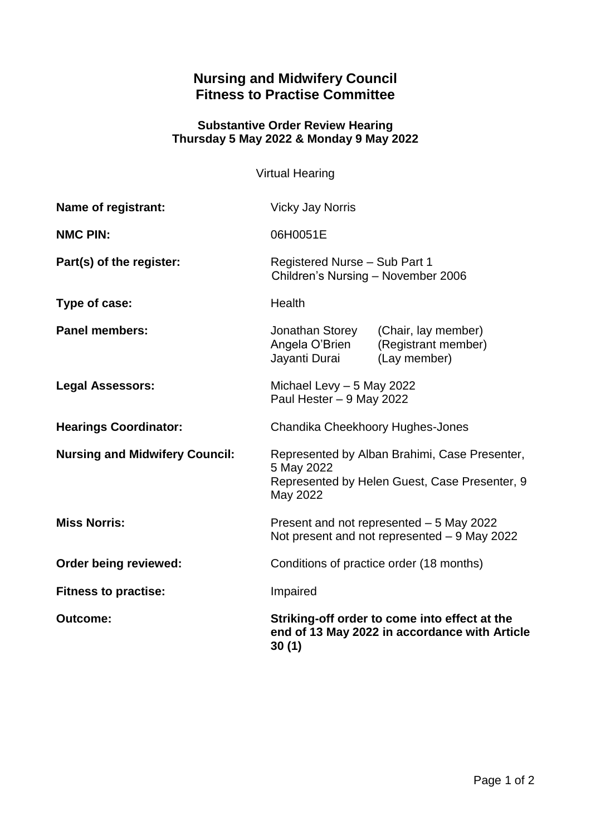## **Nursing and Midwifery Council Fitness to Practise Committee**

## **Substantive Order Review Hearing Thursday 5 May 2022 & Monday 9 May 2022**

Virtual Hearing

| Name of registrant:                   | <b>Vicky Jay Norris</b>                                                                                                  |                                                            |
|---------------------------------------|--------------------------------------------------------------------------------------------------------------------------|------------------------------------------------------------|
| <b>NMC PIN:</b>                       | 06H0051E                                                                                                                 |                                                            |
| Part(s) of the register:              | Registered Nurse - Sub Part 1<br>Children's Nursing - November 2006                                                      |                                                            |
| Type of case:                         | Health                                                                                                                   |                                                            |
| <b>Panel members:</b>                 | Jonathan Storey<br>Angela O'Brien<br>Jayanti Durai                                                                       | (Chair, lay member)<br>(Registrant member)<br>(Lay member) |
| <b>Legal Assessors:</b>               | Michael Levy $-5$ May 2022<br>Paul Hester - 9 May 2022                                                                   |                                                            |
| <b>Hearings Coordinator:</b>          | Chandika Cheekhoory Hughes-Jones                                                                                         |                                                            |
| <b>Nursing and Midwifery Council:</b> | Represented by Alban Brahimi, Case Presenter,<br>5 May 2022<br>Represented by Helen Guest, Case Presenter, 9<br>May 2022 |                                                            |
| <b>Miss Norris:</b>                   | Present and not represented - 5 May 2022<br>Not present and not represented - 9 May 2022                                 |                                                            |
| <b>Order being reviewed:</b>          | Conditions of practice order (18 months)                                                                                 |                                                            |
| <b>Fitness to practise:</b>           | Impaired                                                                                                                 |                                                            |
| <b>Outcome:</b>                       | Striking-off order to come into effect at the<br>end of 13 May 2022 in accordance with Article<br>30(1)                  |                                                            |